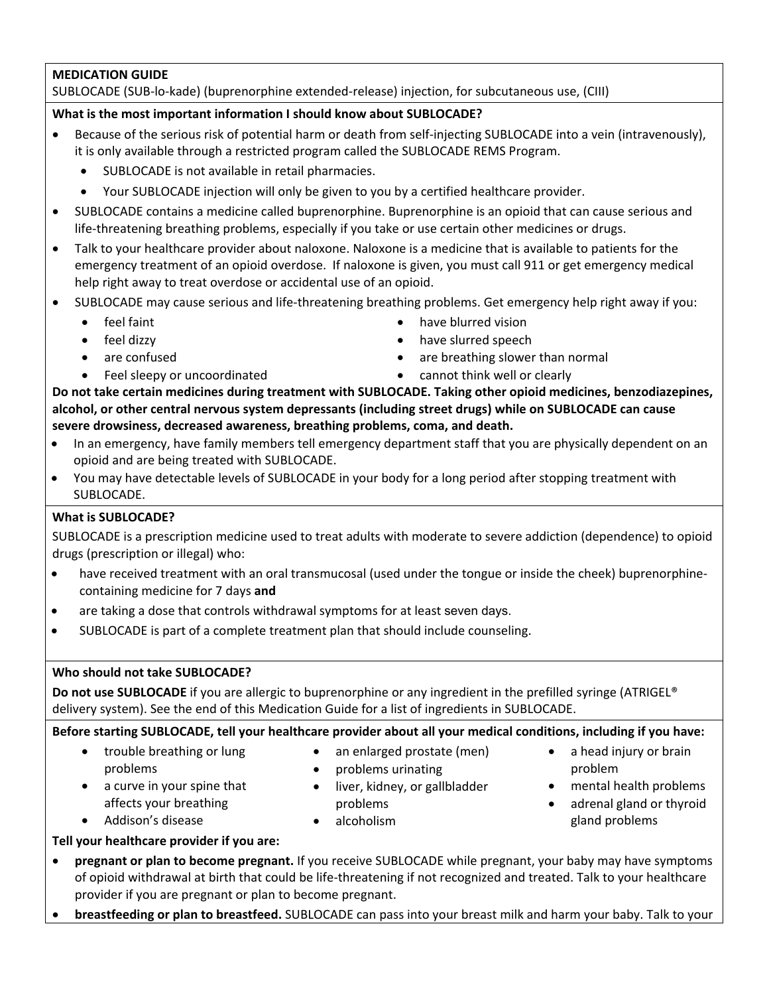### **MEDICATION GUIDE**

### SUBLOCADE (SUB‐lo‐kade) (buprenorphine extended‐release) injection, for subcutaneous use, (CIII)

#### **What is the most important information I should know about SUBLOCADE?**

- Because of the serious risk of potential harm or death from self-injecting SUBLOCADE into a vein (intravenously), it is only available through a restricted program called the SUBLOCADE REMS Program.
	- SUBLOCADE is not available in retail pharmacies.
	- Your SUBLOCADE injection will only be given to you by a certified healthcare provider.
- SUBLOCADE contains a medicine called buprenorphine. Buprenorphine is an opioid that can cause serious and life-threatening breathing problems, especially if you take or use certain other medicines or drugs.
- Talk to your healthcare provider about naloxone. Naloxone is a medicine that is available to patients for the emergency treatment of an opioid overdose. If naloxone is given, you must call 911 or get emergency medical help right away to treat overdose or accidental use of an opioid.
- SUBLOCADE may cause serious and life‐threatening breathing problems. Get emergency help right away if you:
	- feel faint
	- feel dizzy
	-
	- Feel sleepy or uncoordinated **•** cannot think well or clearly
- have blurred vision
- have slurred speech
	- are confused **are confused are breathing slower than normal** 
		-

**Do not take certain medicines during treatment with SUBLOCADE. Taking other opioid medicines, benzodiazepines, alcohol, or other central nervous system depressants (including street drugs) while on SUBLOCADE can cause severe drowsiness, decreased awareness, breathing problems, coma, and death.**

- In an emergency, have family members tell emergency department staff that you are physically dependent on an opioid and are being treated with SUBLOCADE.
- You may have detectable levels of SUBLOCADE in your body for a long period after stopping treatment with SUBLOCADE.

### **What is SUBLOCADE?**

SUBLOCADE is a prescription medicine used to treat adults with moderate to severe addiction (dependence) to opioid drugs (prescription or illegal) who:

- have received treatment with an oral transmucosal (used under the tongue or inside the cheek) buprenorphinecontaining medicine for 7 days **and**
- are taking a dose that controls withdrawal symptoms for at least seven days.
- SUBLOCADE is part of a complete treatment plan that should include counseling.

#### **Who should not take SUBLOCADE?**

**Do not use SUBLOCADE** if you are allergic to buprenorphine or any ingredient in the prefilled syringe (ATRIGEL® delivery system). See the end of this Medication Guide for a list of ingredients in SUBLOCADE.

Before starting SUBLOCADE, tell your healthcare provider about all your medical conditions, including if you have:

• trouble breathing or lung problems

• a curve in your spine that

- an enlarged prostate (men)
- problems urinating
- liver, kidney, or gallbladder problems
- affects your breathing Addison's disease
- alcoholism
- a head injury or brain problem
- mental health problems
- adrenal gland or thyroid gland problems

- **Tell your healthcare provider if you are:**
- **pregnant or plan to become pregnant.** If you receive SUBLOCADE while pregnant, your baby may have symptoms of opioid withdrawal at birth that could be life‐threatening if not recognized and treated. Talk to your healthcare provider if you are pregnant or plan to become pregnant.
- **breastfeeding or plan to breastfeed.** SUBLOCADE can pass into your breast milk and harm your baby. Talk to your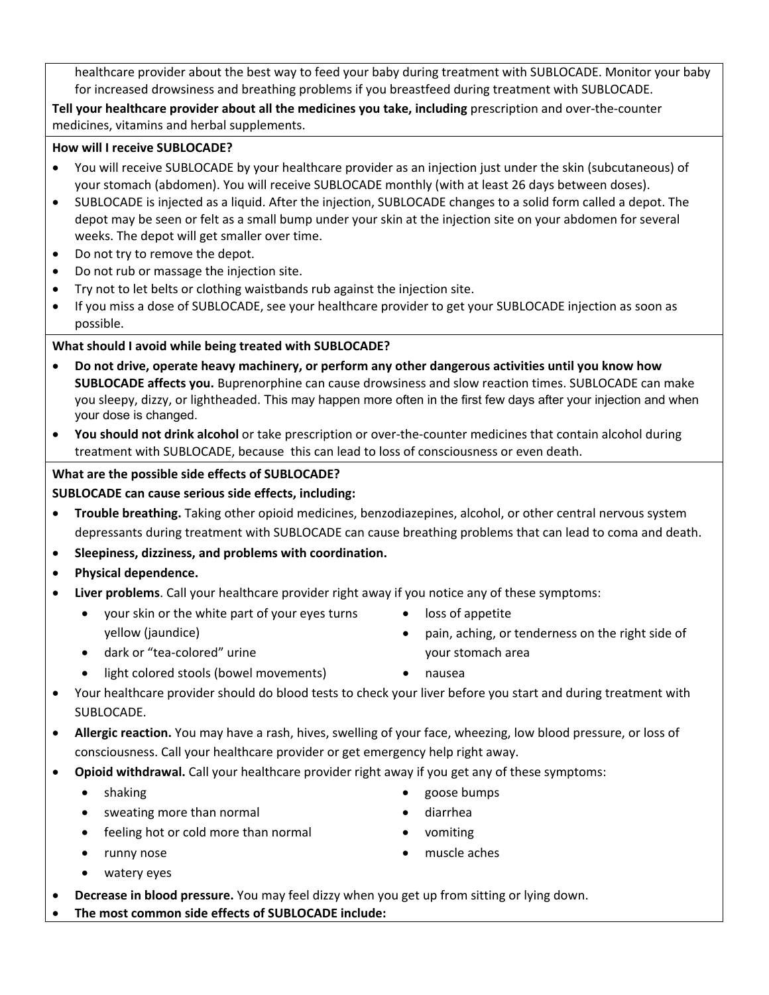healthcare provider about the best way to feed your baby during treatment with SUBLOCADE. Monitor your baby for increased drowsiness and breathing problems if you breastfeed during treatment with SUBLOCADE.

**Tell your healthcare provider about all the medicines you take, including** prescription and over‐the‐counter medicines, vitamins and herbal supplements.

### **How will I receive SUBLOCADE?**

- You will receive SUBLOCADE by your healthcare provider as an injection just under the skin (subcutaneous) of your stomach (abdomen). You will receive SUBLOCADE monthly (with at least 26 days between doses).
- SUBLOCADE is injected as a liquid. After the injection, SUBLOCADE changes to a solid form called a depot. The depot may be seen or felt as a small bump under your skin at the injection site on your abdomen for several weeks. The depot will get smaller over time.
- Do not try to remove the depot.
- Do not rub or massage the injection site.
- Try not to let belts or clothing waistbands rub against the injection site.
- If you miss a dose of SUBLOCADE, see your healthcare provider to get your SUBLOCADE injection as soon as possible.

# **What should I avoid while being treated with SUBLOCADE?**

- **Do not drive, operate heavy machinery, or perform any other dangerous activities until you know how SUBLOCADE affects you.** Buprenorphine can cause drowsiness and slow reaction times. SUBLOCADE can make you sleepy, dizzy, or lightheaded. This may happen more often in the first few days after your injection and when your dose is changed.
- **You should not drink alcohol** or take prescription or over‐the‐counter medicines that contain alcohol during treatment with SUBLOCADE, because this can lead to loss of consciousness or even death.

# **What are the possible side effects of SUBLOCADE?**

# **SUBLOCADE can cause serious side effects, including:**

- **Trouble breathing.** Taking other opioid medicines, benzodiazepines, alcohol, or other central nervous system depressants during treatment with SUBLOCADE can cause breathing problems that can lead to coma and death.
- **Sleepiness, dizziness, and problems with coordination.**
- **Physical dependence.**
- **Liver problems**. Call your healthcare provider right away if you notice any of these symptoms:
	- your skin or the white part of your eyes turns yellow (jaundice)
- loss of appetite
- pain, aching, or tenderness on the right side of your stomach area
- dark or "tea-colored" urine
- light colored stools (bowel movements) nausea
	-
- Your healthcare provider should do blood tests to check your liver before you start and during treatment with SUBLOCADE.
- **Allergic reaction.** You may have a rash, hives, swelling of your face, wheezing, low blood pressure, or loss of consciousness. Call your healthcare provider or get emergency help right away.
- **Opioid withdrawal.** Call your healthcare provider right away if you get any of these symptoms:
	- shaking **goose** bumps
	- sweating more than normal **example in the system of the contract of the contract of the contract of the contract of the contract of the contract of the contract of the contract of the contract of the contract of the cont**
	- feeling hot or cold more than normal vomiting
	-
- 
- 
- runny nose muscle aches
- watery eyes
- **Decrease in blood pressure.** You may feel dizzy when you get up from sitting or lying down.
- **The most common side effects of SUBLOCADE include:**